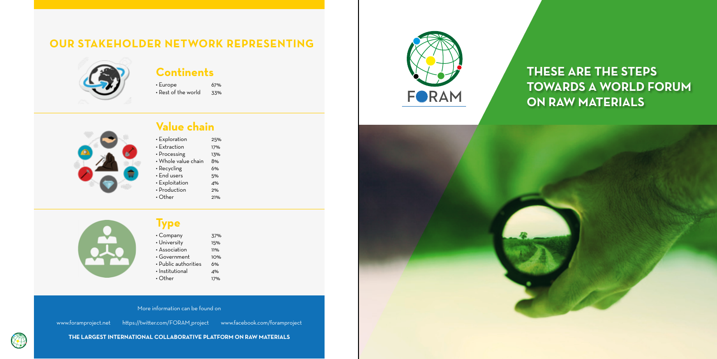### **Continents**

• Europe 67%<br>• Rest of the world 33%  $\cdot$  Rest of the world



| $\cdot$ Exploration | 25% |
|---------------------|-----|
| $\cdot$ Extraction  | 17% |
| • Processing        | 13% |
| · Whole value chain | 8%  |
| • Recycling         | 6%  |
| $\cdot$ End users   | 5%  |
| • Exploitation      | 4%  |
| • Production        | 2%  |
| $\cdot$ Other       | 21% |
|                     |     |



## **Type**

| $\cdot$ Company            | 37% |
|----------------------------|-----|
| • University               | 15% |
| · Association              | 11% |
| • Government               | 10% |
| $\cdot$ Public authorities | 6%  |
| $\cdot$ Institutional      | 4%  |
| $\cdot$ Other              | 17% |







More information can be found on

www.foramproject.net https://twitter.com/FORAM\_project www.facebook.com/foramproject

**THE LARGEST INTERNATIONAL COLLABORATIVE PLATFORM ON RAW MATERIALS**

# **THESE ARE THE STEPS TOWARDS A WORLD FORUM ON RAW MATERIALS**

## **OUR STAKEHOLDER NETWORK REPRESENTING**